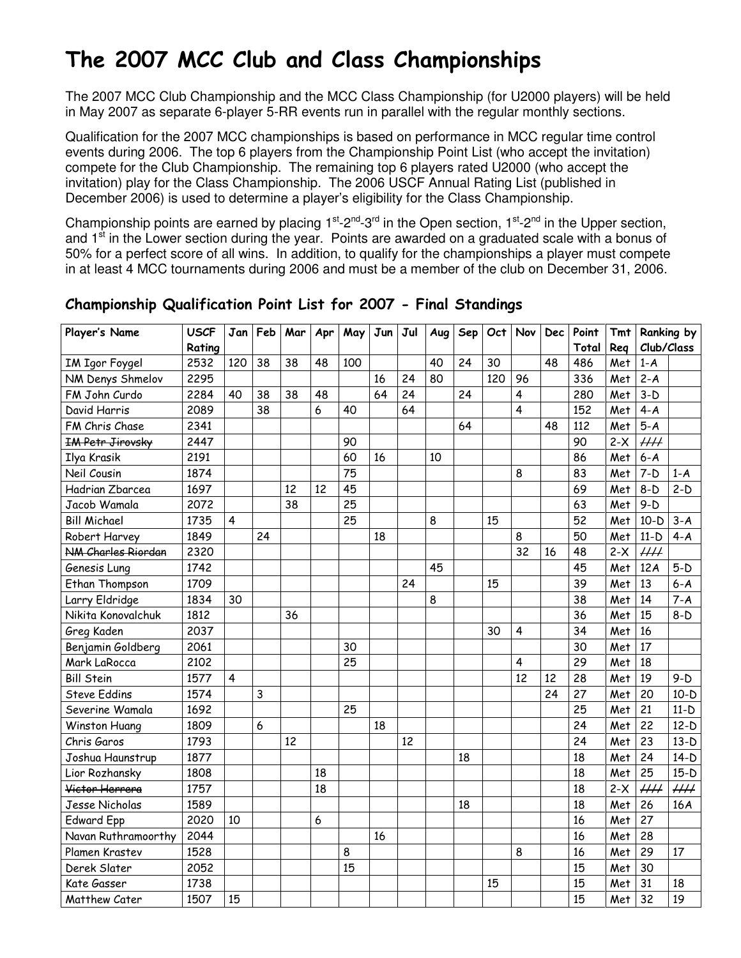# The 2007 MCC Club and Class Championships

The 2007 MCC Club Championship and the MCC Class Championship (for U2000 players) will be held in May 2007 as separate 6-player 5-RR events run in parallel with the regular monthly sections.

Qualification for the 2007 MCC championships is based on performance in MCC regular time control events during 2006. The top 6 players from the Championship Point List (who accept the invitation) compete for the Club Championship. The remaining top 6 players rated U2000 (who accept the invitation) play for the Class Championship. The 2006 USCF Annual Rating List (published in December 2006) is used to determine a player's eligibility for the Class Championship.

Championship points are earned by placing  $1^{st}$ -2<sup>nd</sup>-3<sup>rd</sup> in the Open section,  $1^{st}$ -2<sup>nd</sup> in the Upper section, and 1<sup>st</sup> in the Lower section during the year. Points are awarded on a graduated scale with a bonus of 50% for a perfect score of all wins. In addition, to qualify for the championships a player must compete in at least 4 MCC tournaments during 2006 and must be a member of the club on December 31, 2006.

| Player's Name           | <b>USCF</b> | Jan            | Feb | Mar | Apr | May             | Jun | Jul | Aug | <b>Sep</b> | Oct | Nov | <b>Dec</b> | Point | <b>Tmt</b> |            | Ranking by |
|-------------------------|-------------|----------------|-----|-----|-----|-----------------|-----|-----|-----|------------|-----|-----|------------|-------|------------|------------|------------|
|                         | Rating      |                |     |     |     |                 |     |     |     |            |     |     |            | Total | Reg        | Club/Class |            |
| <b>IM Igor Foygel</b>   | 2532        | 120            | 38  | 38  | 48  | 100             |     |     | 40  | 24         | 30  |     | 48         | 486   | Met        | $1-A$      |            |
| NM Denys Shmelov        | 2295        |                |     |     |     |                 | 16  | 24  | 80  |            | 120 | 96  |            | 336   | Met        | $2 - A$    |            |
| FM John Curdo           | 2284        | 40             | 38  | 38  | 48  |                 | 64  | 24  |     | 24         |     | 4   |            | 280   | Met        | $3-D$      |            |
| David Harris            | 2089        |                | 38  |     | 6   | 40              |     | 64  |     |            |     | 4   |            | 152   | Met        | $4 - A$    |            |
| FM Chris Chase          | 2341        |                |     |     |     |                 |     |     |     | 64         |     |     | 48         | 112   | Met        | $5-A$      |            |
| <b>IM Petr Jirovsky</b> | 2447        |                |     |     |     | 90              |     |     |     |            |     |     |            | 90    | $2-X$      | $\mu\mu$   |            |
| Ilya Krasik             | 2191        |                |     |     |     | 60              | 16  |     | 10  |            |     |     |            | 86    | Met        | $6 - A$    |            |
| Neil Cousin             | 1874        |                |     |     |     | $\overline{75}$ |     |     |     |            |     | 8   |            | 83    | Met        | $7-D$      | $1-A$      |
| Hadrian Zbarcea         | 1697        |                |     | 12  | 12  | 45              |     |     |     |            |     |     |            | 69    | Met        | $8-D$      | $2-D$      |
| Jacob Wamala            | 2072        |                |     | 38  |     | 25              |     |     |     |            |     |     |            | 63    | Met        | $9-D$      |            |
| <b>Bill Michael</b>     | 1735        | $\overline{4}$ |     |     |     | 25              |     |     | 8   |            | 15  |     |            | 52    | Met        | $10-D$     | $3-A$      |
| Robert Harvey           | 1849        |                | 24  |     |     |                 | 18  |     |     |            |     | 8   |            | 50    | Met        | $11-D$     | $4 - A$    |
| NM Charles Riordan      | 2320        |                |     |     |     |                 |     |     |     |            |     | 32  | 16         | 48    | $2-X$      | $\mu\mu$   |            |
| Genesis Lung            | 1742        |                |     |     |     |                 |     |     | 45  |            |     |     |            | 45    | Met        | 12A        | $5-D$      |
| Ethan Thompson          | 1709        |                |     |     |     |                 |     | 24  |     |            | 15  |     |            | 39    | Met        | 13         | $6 - A$    |
| Larry Eldridge          | 1834        | 30             |     |     |     |                 |     |     | 8   |            |     |     |            | 38    | Met        | 14         | $7 - A$    |
| Nikita Konovalchuk      | 1812        |                |     | 36  |     |                 |     |     |     |            |     |     |            | 36    | Met        | 15         | $8-D$      |
| Greg Kaden              | 2037        |                |     |     |     |                 |     |     |     |            | 30  | 4   |            | 34    | Met        | 16         |            |
| Benjamin Goldberg       | 2061        |                |     |     |     | 30              |     |     |     |            |     |     |            | 30    | Met        | 17         |            |
| Mark LaRocca            | 2102        |                |     |     |     | 25              |     |     |     |            |     | 4   |            | 29    | Met        | 18         |            |
| <b>Bill Stein</b>       | 1577        | $\overline{4}$ |     |     |     |                 |     |     |     |            |     | 12  | 12         | 28    | Met        | 19         | $9-D$      |
| <b>Steve Eddins</b>     | 1574        |                | 3   |     |     |                 |     |     |     |            |     |     | 24         | 27    | Met        | 20         | $10-D$     |
| Severine Wamala         | 1692        |                |     |     |     | 25              |     |     |     |            |     |     |            | 25    | Met        | 21         | $11-D$     |
| Winston Huang           | 1809        |                | 6   |     |     |                 | 18  |     |     |            |     |     |            | 24    | Met        | 22         | $12-D$     |
| Chris Garos             | 1793        |                |     | 12  |     |                 |     | 12  |     |            |     |     |            | 24    | Met        | 23         | $13-D$     |
| Joshua Haunstrup        | 1877        |                |     |     |     |                 |     |     |     | 18         |     |     |            | 18    | Met        | 24         | $14-D$     |
| Lior Rozhansky          | 1808        |                |     |     | 18  |                 |     |     |     |            |     |     |            | 18    | Met        | 25         | $15-D$     |
| Victor Herrera          | 1757        |                |     |     | 18  |                 |     |     |     |            |     |     |            | 18    | $2-X$      | $\mu\mu$   | $\mu\mu$   |
| Jesse Nicholas          | 1589        |                |     |     |     |                 |     |     |     | 18         |     |     |            | 18    | Met        | 26         | 16A        |
| <b>Edward Epp</b>       | 2020        | 10             |     |     | 6   |                 |     |     |     |            |     |     |            | 16    | Met        | 27         |            |
| Navan Ruthramoorthy     | 2044        |                |     |     |     |                 | 16  |     |     |            |     |     |            | 16    | Met        | 28         |            |
| Plamen Krastev          | 1528        |                |     |     |     | 8               |     |     |     |            |     | 8   |            | 16    | Met        | 29         | 17         |
| Derek Slater            | 2052        |                |     |     |     | 15              |     |     |     |            |     |     |            | 15    | Met        | 30         |            |
| Kate Gasser             | 1738        |                |     |     |     |                 |     |     |     |            | 15  |     |            | 15    | Met        | 31         | 18         |
| Matthew Cater           | 1507        | 15             |     |     |     |                 |     |     |     |            |     |     |            | 15    | Met        | 32         | 19         |

### Championship Qualification Point List for 2007 - Final Standings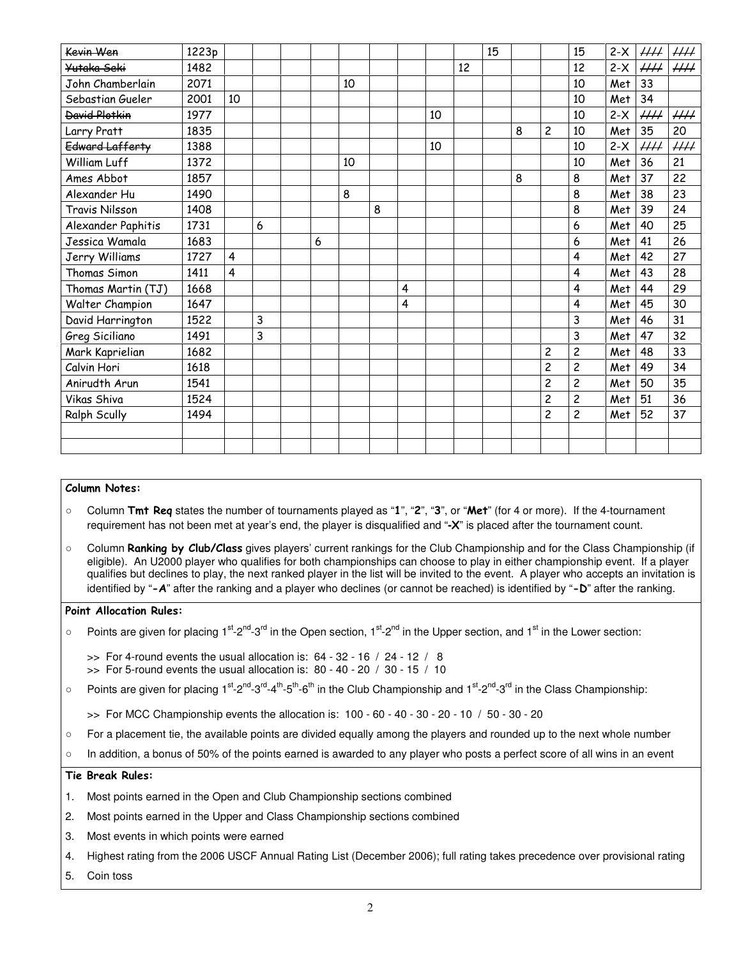| Kevin Wen             | 1223p |    |   |   |    |   |   |    |    | 15 |   |                | 15                      | $2-X$ | HH                        | ₩Н       |
|-----------------------|-------|----|---|---|----|---|---|----|----|----|---|----------------|-------------------------|-------|---------------------------|----------|
| Yutaka Seki           | 1482  |    |   |   |    |   |   |    | 12 |    |   |                | 12                      | $2-X$ | $\overline{HH}$           | $\mu\mu$ |
| John Chamberlain      | 2071  |    |   |   | 10 |   |   |    |    |    |   |                | 10                      | Met   | 33                        |          |
| Sebastian Gueler      | 2001  | 10 |   |   |    |   |   |    |    |    |   |                | 10                      | Met   | 34                        |          |
| <b>David Plotkin</b>  | 1977  |    |   |   |    |   |   | 10 |    |    |   |                | 10                      | $2-X$ | $\mathcal{H} \mathcal{H}$ | $H\!H$   |
| Larry Pratt           | 1835  |    |   |   |    |   |   |    |    |    | 8 | $\overline{c}$ | 10                      | Met   | 35                        | 20       |
| Edward Lafferty       | 1388  |    |   |   |    |   |   | 10 |    |    |   |                | 10                      | $2-X$ | $\mu\mu$                  | $\mu\mu$ |
| William Luff          | 1372  |    |   |   | 10 |   |   |    |    |    |   |                | 10                      | Met   | 36                        | 21       |
| Ames Abbot            | 1857  |    |   |   |    |   |   |    |    |    | 8 |                | 8                       | Met   | 37                        | 22       |
| Alexander Hu          | 1490  |    |   |   | 8  |   |   |    |    |    |   |                | 8                       | Met   | 38                        | 23       |
| <b>Travis Nilsson</b> | 1408  |    |   |   |    | 8 |   |    |    |    |   |                | 8                       | Met   | 39                        | 24       |
| Alexander Paphitis    | 1731  |    | 6 |   |    |   |   |    |    |    |   |                | 6                       | Met   | 40                        | 25       |
| Jessica Wamala        | 1683  |    |   | 6 |    |   |   |    |    |    |   |                | 6                       | Met   | 41                        | 26       |
| Jerry Williams        | 1727  | 4  |   |   |    |   |   |    |    |    |   |                | 4                       | Met   | 42                        | 27       |
| Thomas Simon          | 1411  | 4  |   |   |    |   |   |    |    |    |   |                | 4                       | Met   | 43                        | 28       |
| Thomas Martin (TJ)    | 1668  |    |   |   |    |   | 4 |    |    |    |   |                | 4                       | Met   | 44                        | 29       |
| Walter Champion       | 1647  |    |   |   |    |   | 4 |    |    |    |   |                | 4                       | Met   | 45                        | 30       |
| David Harrington      | 1522  |    | 3 |   |    |   |   |    |    |    |   |                | 3                       | Met   | 46                        | 31       |
| Greg Siciliano        | 1491  |    | 3 |   |    |   |   |    |    |    |   |                | 3                       | Met   | 47                        | 32       |
| Mark Kaprielian       | 1682  |    |   |   |    |   |   |    |    |    |   | $\overline{c}$ | $\overline{\mathbf{c}}$ | Met   | 48                        | 33       |
| Calvin Hori           | 1618  |    |   |   |    |   |   |    |    |    |   | $\overline{c}$ | $\overline{\mathbf{c}}$ | Met   | 49                        | 34       |
| Anirudth Arun         | 1541  |    |   |   |    |   |   |    |    |    |   | $\overline{c}$ | $\overline{\mathbf{c}}$ | Met   | 50                        | 35       |
| Vikas Shiva           | 1524  |    |   |   |    |   |   |    |    |    |   | $\overline{c}$ | 2                       | Met   | 51                        | 36       |
| Ralph Scully          | 1494  |    |   |   |    |   |   |    |    |    |   | $\overline{c}$ | 2                       | Met   | 52                        | 37       |
|                       |       |    |   |   |    |   |   |    |    |    |   |                |                         |       |                           |          |
|                       |       |    |   |   |    |   |   |    |    |    |   |                |                         |       |                           |          |

#### Column Notes:

- Column Tmt Req states the number of tournaments played as "1", "2", "3", or "Met" (for 4 or more). If the 4-tournament requirement has not been met at year's end, the player is disqualified and "**-**X" is placed after the tournament count.
- Column **Ranking by Club/Class** gives players' current rankings for the Club Championship and for the Class Championship (if eligible). An U2000 player who qualifies for both championships can choose to play in either championship event. If a player qualifies but declines to play, the next ranked player in the list will be invited to the event. A player who accepts an invitation is identified by "-A" after the ranking and a player who declines (or cannot be reached) is identified by "-D" after the ranking.

#### Point Allocation Rules:

- Points are given for placing  $1^{st}$ -2<sup>nd</sup>-3<sup>rd</sup> in the Open section,  $1^{st}$ -2<sup>nd</sup> in the Upper section, and  $1^{st}$  in the Lower section:
	- $\gg$  For 4-round events the usual allocation is: 64 32 16 / 24 12 / 8
	- $\gg$  For 5-round events the usual allocation is: 80 40 20 / 30 15 / 10
- Points are given for placing 1<sup>st</sup>-2<sup>nd</sup>-3<sup>rd</sup>-4<sup>th</sup>-5<sup>th</sup>-6<sup>th</sup> in the Club Championship and 1<sup>st</sup>-2<sup>nd</sup>-3<sup>rd</sup> in the Class Championship:
	- >> For MCC Championship events the allocation is: 100 60 40 30 20 10 / 50 30 20
- For a placement tie, the available points are divided equally among the players and rounded up to the next whole number
- In addition, a bonus of 50% of the points earned is awarded to any player who posts a perfect score of all wins in an event

#### Tie Break Rules:

- 1. Most points earned in the Open and Club Championship sections combined
- 2. Most points earned in the Upper and Class Championship sections combined
- 3. Most events in which points were earned
- 4. Highest rating from the 2006 USCF Annual Rating List (December 2006); full rating takes precedence over provisional rating
- 5. Coin toss